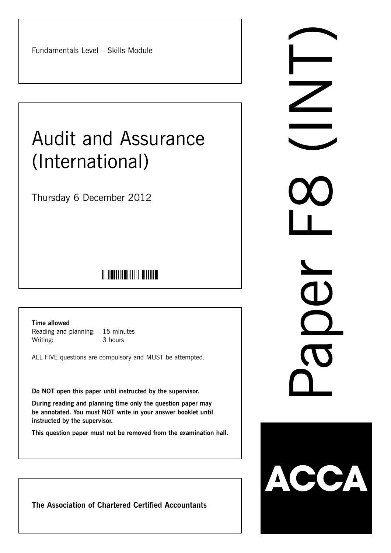Fundamentals Level – Skills Module

# Audit and Assurance (International)

Thursday 6 December 2012

# 

**Time allowed**

Reading and planning: 15 minutes Writing: 3 hours

ALL FIVE questions are compulsory and MUST be attempted.

**Do NOT open this paper until instructed by the supervisor.**

**During reading and planning time only the question paper may be annotated. You must NOT write in your answer booklet until instructed by the supervisor.**

**This question paper must not be removed from the examination hall.**

**The Association of Chartered Certified Accountants**

Naper Co 1  $\bigcap$ 

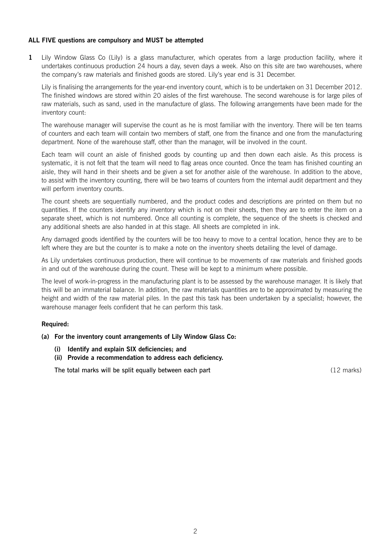# **ALL FIVE questions are compulsory and MUST be attempted**

**1** Lily Window Glass Co (Lily) is a glass manufacturer, which operates from a large production facility, where it undertakes continuous production 24 hours a day, seven days a week. Also on this site are two warehouses, where the company's raw materials and finished goods are stored. Lily's year end is 31 December.

Lily is finalising the arrangements for the year-end inventory count, which is to be undertaken on 31 December 2012. The finished windows are stored within 20 aisles of the first warehouse. The second warehouse is for large piles of raw materials, such as sand, used in the manufacture of glass. The following arrangements have been made for the inventory count:

The warehouse manager will supervise the count as he is most familiar with the inventory. There will be ten teams of counters and each team will contain two members of staff, one from the finance and one from the manufacturing department. None of the warehouse staff, other than the manager, will be involved in the count.

Each team will count an aisle of finished goods by counting up and then down each aisle. As this process is systematic, it is not felt that the team will need to flag areas once counted. Once the team has finished counting an aisle, they will hand in their sheets and be given a set for another aisle of the warehouse. In addition to the above, to assist with the inventory counting, there will be two teams of counters from the internal audit department and they will perform inventory counts.

The count sheets are sequentially numbered, and the product codes and descriptions are printed on them but no quantities. If the counters identify any inventory which is not on their sheets, then they are to enter the item on a separate sheet, which is not numbered. Once all counting is complete, the sequence of the sheets is checked and any additional sheets are also handed in at this stage. All sheets are completed in ink.

Any damaged goods identified by the counters will be too heavy to move to a central location, hence they are to be left where they are but the counter is to make a note on the inventory sheets detailing the level of damage.

As Lily undertakes continuous production, there will continue to be movements of raw materials and finished goods in and out of the warehouse during the count. These will be kept to a minimum where possible.

The level of work-in-progress in the manufacturing plant is to be assessed by the warehouse manager. It is likely that this will be an immaterial balance. In addition, the raw materials quantities are to be approximated by measuring the height and width of the raw material piles. In the past this task has been undertaken by a specialist; however, the warehouse manager feels confident that he can perform this task.

# **Required:**

**(a) For the inventory count arrangements of Lily Window Glass Co:**

- **(i) Identify and explain SIX deficiencies; and**
- **(ii) Provide a recommendation to address each deficiency.**

The total marks will be split equally between each part (12 marks)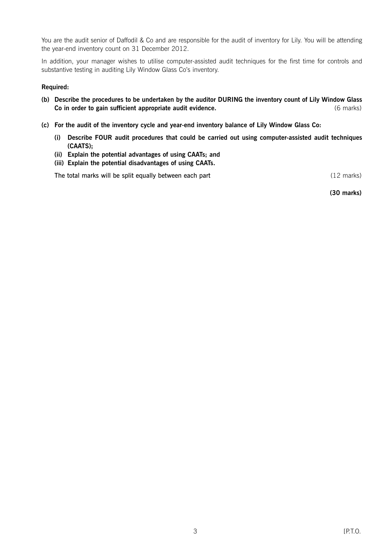You are the audit senior of Daffodil & Co and are responsible for the audit of inventory for Lily. You will be attending the year-end inventory count on 31 December 2012.

In addition, your manager wishes to utilise computer-assisted audit techniques for the first time for controls and substantive testing in auditing Lily Window Glass Co's inventory.

# **Required:**

- **(b) Describe the procedures to be undertaken by the auditor DURING the inventory count of Lily Window Glass Co in order to gain sufficient appropriate audit evidence.** (6 marks) (6 marks)
- **(c) For the audit of the inventory cycle and year-end inventory balance of Lily Window Glass Co:**
	- **(i) Describe FOUR audit procedures that could be carried out using computer-assisted audit techniques (CAATS);**
	- **(ii) Explain the potential advantages of using CAATs; and**
	- **(iii) Explain the potential disadvantages of using CAATs.**

The total marks will be split equally between each part (12 marks)

**(30 marks)**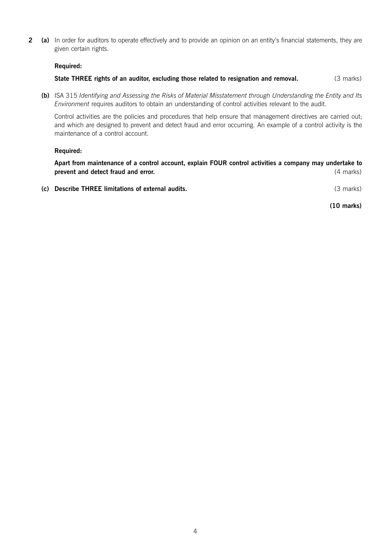**2 (a)** In order for auditors to operate effectively and to provide an opinion on an entity's financial statements, they are given certain rights.

#### **Required:**

**State THREE rights of an auditor, excluding those related to resignation and removal.** (3 marks)

**(b)** ISA 315 *Identifying and Assessing the Risks of Material Misstatement through Understanding the Entity and Its Environment* requires auditors to obtain an understanding of control activities relevant to the audit.

Control activities are the policies and procedures that help ensure that management directives are carried out; and which are designed to prevent and detect fraud and error occurring. An example of a control activity is the maintenance of a control account.

#### **Required:**

**Apart from maintenance of a control account, explain FOUR control activities a company may undertake to prevent and detect fraud and error.** *All and the set of the set of the set of the set of the set of the set of the set of the set of the set of the set of the set of the set of the set of the set of the set of the set o* 

**(c) Describe THREE limitations of external audits.** (3 marks)

**(10 marks)**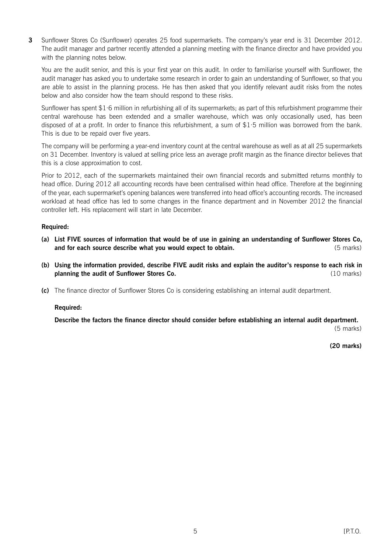**3** Sunflower Stores Co (Sunflower) operates 25 food supermarkets. The company's year end is 31 December 2012. The audit manager and partner recently attended a planning meeting with the finance director and have provided you with the planning notes below.

You are the audit senior, and this is your first year on this audit. In order to familiarise yourself with Sunflower, the audit manager has asked you to undertake some research in order to gain an understanding of Sunflower, so that you are able to assist in the planning process. He has then asked that you identify relevant audit risks from the notes below and also consider how the team should respond to these risks.

Sunflower has spent  $$1·6$  million in refurbishing all of its supermarkets; as part of this refurbishment programme their central warehouse has been extended and a smaller warehouse, which was only occasionally used, has been disposed of at a profit. In order to finance this refurbishment, a sum of \$1·5 million was borrowed from the bank. This is due to be repaid over five years.

The company will be performing a year-end inventory count at the central warehouse as well as at all 25 supermarkets on 31 December. Inventory is valued at selling price less an average profit margin as the finance director believes that this is a close approximation to cost.

Prior to 2012, each of the supermarkets maintained their own financial records and submitted returns monthly to head office. During 2012 all accounting records have been centralised within head office. Therefore at the beginning of the year, each supermarket's opening balances were transferred into head office's accounting records. The increased workload at head office has led to some changes in the finance department and in November 2012 the financial controller left. His replacement will start in late December.

# **Required:**

- **(a) List FIVE sources of information that would be of use in gaining an understanding of Sunflower Stores Co, and for each source describe what you would expect to obtain. 1998 1999 1999 1999 1999 1999 1999 1999 1999 1999 1999 1999 1999 1999 1999 1999 1999 1999 1999 1999 1999 1999 199**
- **(b) Using the information provided, describe FIVE audit risks and explain the auditor's response to each risk in planning the audit of Sunflower Stores Co.** (10 marks) (10 marks)
- **(c)** The finance director of Sunflower Stores Co is considering establishing an internal audit department.

# **Required:**

**Describe the factors the finance director should consider before establishing an internal audit department.**

(5 marks)

**(20 marks)**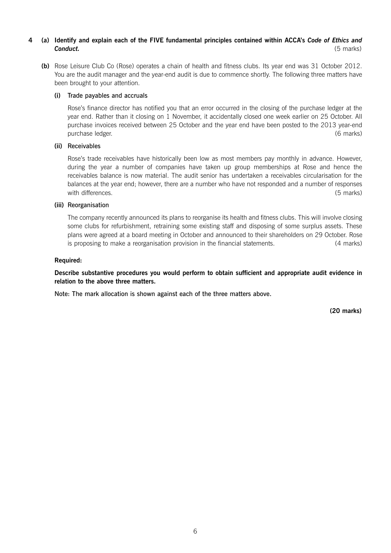# **4 (a) Identify and explain each of the FIVE fundamental principles contained within ACCA's** *Code of Ethics and Conduct.* (5 marks)

**(b)** Rose Leisure Club Co (Rose) operates a chain of health and fitness clubs. Its year end was 31 October 2012. You are the audit manager and the year-end audit is due to commence shortly. The following three matters have been brought to your attention.

#### **(i)** Trade payables and accruals

Rose's finance director has notified you that an error occurred in the closing of the purchase ledger at the year end. Rather than it closing on 1 November, it accidentally closed one week earlier on 25 October. All purchase invoices received between 25 October and the year end have been posted to the 2013 year-end purchase ledger. (6 marks)

#### **(ii)** Receivables

Rose's trade receivables have historically been low as most members pay monthly in advance. However, during the year a number of companies have taken up group memberships at Rose and hence the receivables balance is now material. The audit senior has undertaken a receivables circularisation for the balances at the year end; however, there are a number who have not responded and a number of responses with differences. (5 marks)

#### **(iii)** Reorganisation

The company recently announced its plans to reorganise its health and fitness clubs. This will involve closing some clubs for refurbishment, retraining some existing staff and disposing of some surplus assets. These plans were agreed at a board meeting in October and announced to their shareholders on 29 October. Rose is proposing to make a reorganisation provision in the financial statements. (4 marks)

#### **Required:**

**Describe substantive procedures you would perform to obtain sufficient and appropriate audit evidence in relation to the above three matters.**

Note: The mark allocation is shown against each of the three matters above.

**(20 marks)**